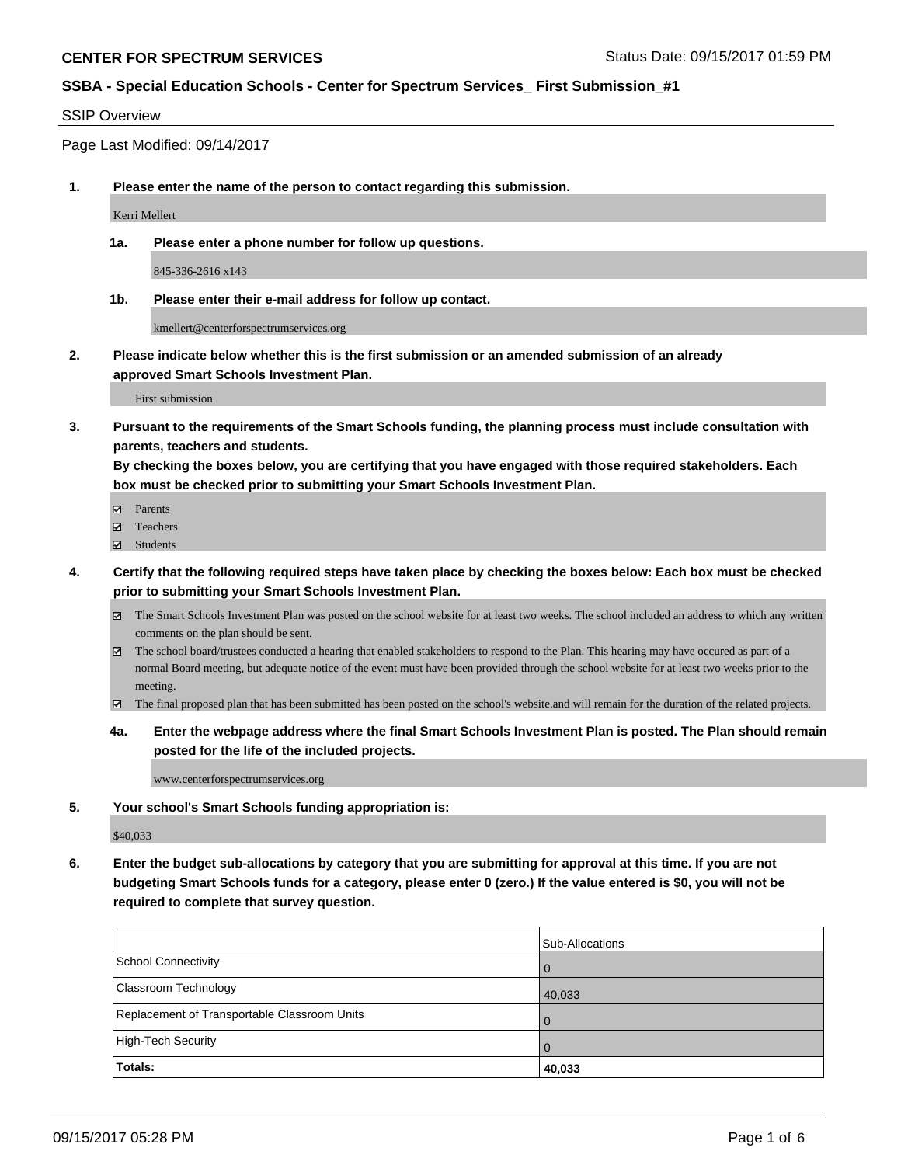#### SSIP Overview

Page Last Modified: 09/14/2017

**1. Please enter the name of the person to contact regarding this submission.**

Kerri Mellert

**1a. Please enter a phone number for follow up questions.**

845-336-2616 x143

**1b. Please enter their e-mail address for follow up contact.**

kmellert@centerforspectrumservices.org

**2. Please indicate below whether this is the first submission or an amended submission of an already approved Smart Schools Investment Plan.**

First submission

**3. Pursuant to the requirements of the Smart Schools funding, the planning process must include consultation with parents, teachers and students.**

**By checking the boxes below, you are certifying that you have engaged with those required stakeholders. Each box must be checked prior to submitting your Smart Schools Investment Plan.**

- **Ø** Parents
- **□** Teachers
- Students
- **4. Certify that the following required steps have taken place by checking the boxes below: Each box must be checked prior to submitting your Smart Schools Investment Plan.**
	- The Smart Schools Investment Plan was posted on the school website for at least two weeks. The school included an address to which any written comments on the plan should be sent.
	- The school board/trustees conducted a hearing that enabled stakeholders to respond to the Plan. This hearing may have occured as part of a normal Board meeting, but adequate notice of the event must have been provided through the school website for at least two weeks prior to the meeting.
	- The final proposed plan that has been submitted has been posted on the school's website.and will remain for the duration of the related projects.
	- **4a. Enter the webpage address where the final Smart Schools Investment Plan is posted. The Plan should remain posted for the life of the included projects.**

www.centerforspectrumservices.org

**5. Your school's Smart Schools funding appropriation is:**

\$40,033

**6. Enter the budget sub-allocations by category that you are submitting for approval at this time. If you are not budgeting Smart Schools funds for a category, please enter 0 (zero.) If the value entered is \$0, you will not be required to complete that survey question.**

|                                              | Sub-Allocations |
|----------------------------------------------|-----------------|
| <b>School Connectivity</b>                   | l 0             |
| <b>Classroom Technology</b>                  | 40,033          |
| Replacement of Transportable Classroom Units | l O             |
| High-Tech Security                           | l O             |
| Totals:                                      | 40,033          |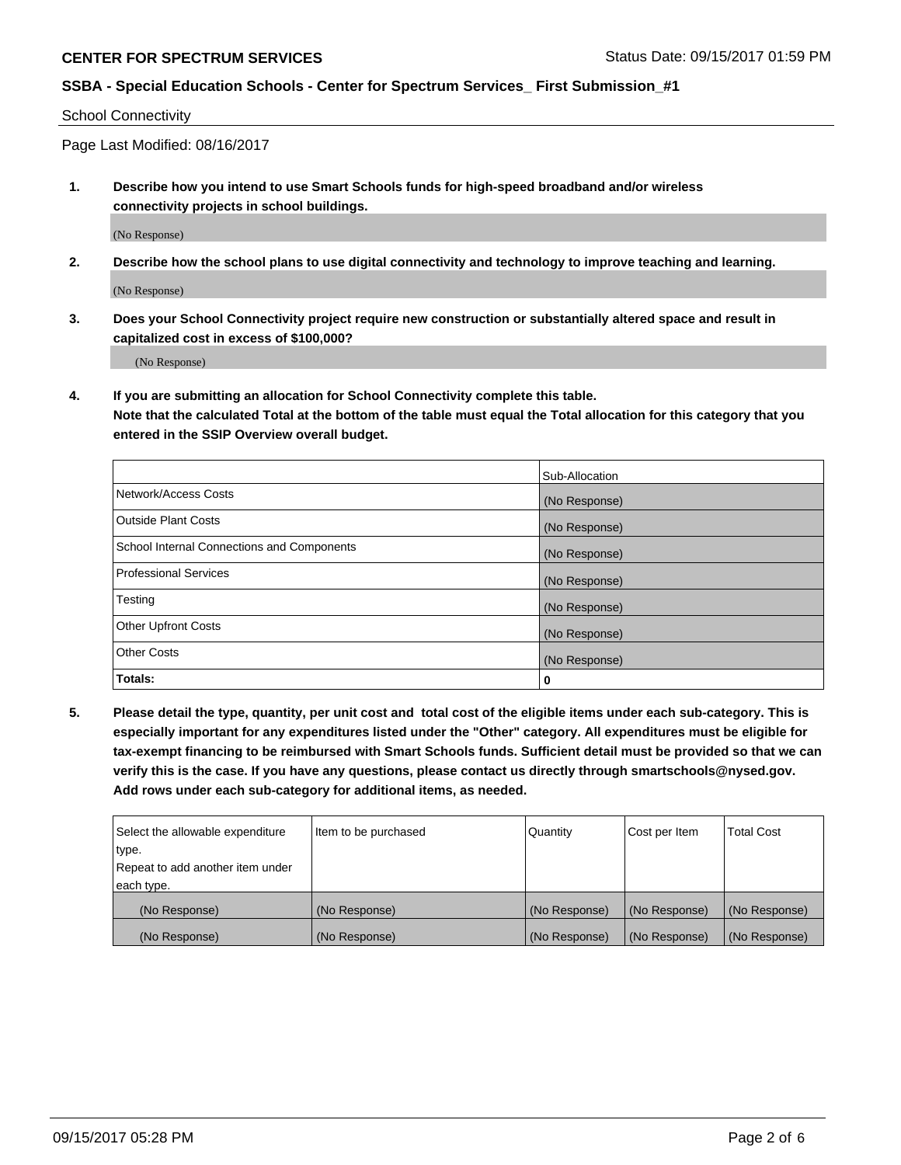School Connectivity

Page Last Modified: 08/16/2017

**1. Describe how you intend to use Smart Schools funds for high-speed broadband and/or wireless connectivity projects in school buildings.**

(No Response)

**2. Describe how the school plans to use digital connectivity and technology to improve teaching and learning.**

(No Response)

**3. Does your School Connectivity project require new construction or substantially altered space and result in capitalized cost in excess of \$100,000?**

(No Response)

**4. If you are submitting an allocation for School Connectivity complete this table.**

**Note that the calculated Total at the bottom of the table must equal the Total allocation for this category that you entered in the SSIP Overview overall budget.** 

|                                            | Sub-Allocation |
|--------------------------------------------|----------------|
| Network/Access Costs                       | (No Response)  |
| <b>Outside Plant Costs</b>                 | (No Response)  |
| School Internal Connections and Components | (No Response)  |
| <b>Professional Services</b>               | (No Response)  |
| Testing                                    | (No Response)  |
| <b>Other Upfront Costs</b>                 | (No Response)  |
| <b>Other Costs</b>                         | (No Response)  |
| Totals:                                    | 0              |

**5. Please detail the type, quantity, per unit cost and total cost of the eligible items under each sub-category. This is especially important for any expenditures listed under the "Other" category. All expenditures must be eligible for tax-exempt financing to be reimbursed with Smart Schools funds. Sufficient detail must be provided so that we can verify this is the case. If you have any questions, please contact us directly through smartschools@nysed.gov. Add rows under each sub-category for additional items, as needed.**

| Select the allowable expenditure | Item to be purchased | Quantity      | Cost per Item | Total Cost    |
|----------------------------------|----------------------|---------------|---------------|---------------|
| type.                            |                      |               |               |               |
| Repeat to add another item under |                      |               |               |               |
| each type.                       |                      |               |               |               |
| (No Response)                    | (No Response)        | (No Response) | (No Response) | (No Response) |
| (No Response)                    | (No Response)        | (No Response) | (No Response) | (No Response) |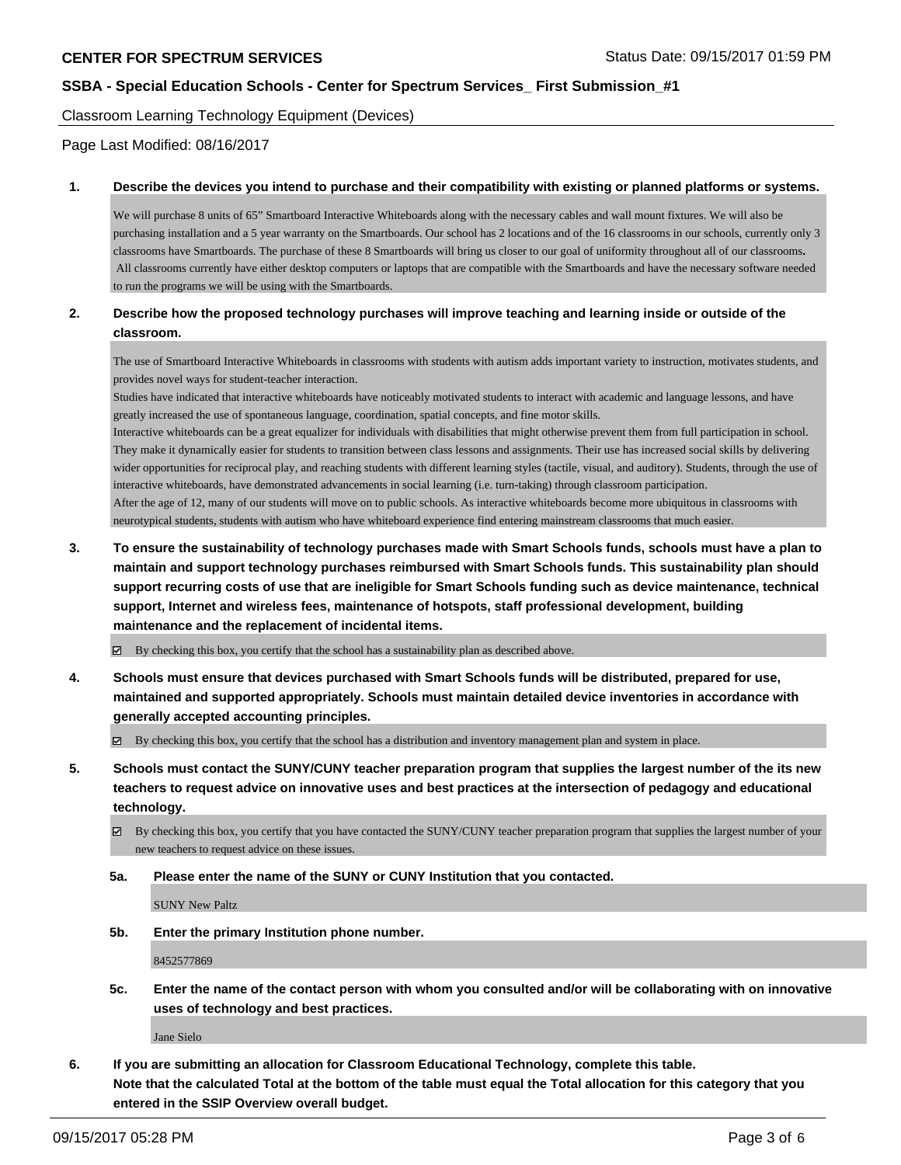Classroom Learning Technology Equipment (Devices)

Page Last Modified: 08/16/2017

#### **1. Describe the devices you intend to purchase and their compatibility with existing or planned platforms or systems.**

We will purchase 8 units of 65" Smartboard Interactive Whiteboards along with the necessary cables and wall mount fixtures. We will also be purchasing installation and a 5 year warranty on the Smartboards. Our school has 2 locations and of the 16 classrooms in our schools, currently only 3 classrooms have Smartboards. The purchase of these 8 Smartboards will bring us closer to our goal of uniformity throughout all of our classrooms**.** All classrooms currently have either desktop computers or laptops that are compatible with the Smartboards and have the necessary software needed to run the programs we will be using with the Smartboards.

### **2. Describe how the proposed technology purchases will improve teaching and learning inside or outside of the classroom.**

The use of Smartboard Interactive Whiteboards in classrooms with students with autism adds important variety to instruction, motivates students, and provides novel ways for student-teacher interaction.

Studies have indicated that interactive whiteboards have noticeably motivated students to interact with academic and language lessons, and have greatly increased the use of spontaneous language, coordination, spatial concepts, and fine motor skills.

Interactive whiteboards can be a great equalizer for individuals with disabilities that might otherwise prevent them from full participation in school. They make it dynamically easier for students to transition between class lessons and assignments. Their use has increased social skills by delivering wider opportunities for reciprocal play, and reaching students with different learning styles (tactile, visual, and auditory). Students, through the use of interactive whiteboards, have demonstrated advancements in social learning (i.e. turn-taking) through classroom participation.

After the age of 12, many of our students will move on to public schools. As interactive whiteboards become more ubiquitous in classrooms with neurotypical students, students with autism who have whiteboard experience find entering mainstream classrooms that much easier.

**3. To ensure the sustainability of technology purchases made with Smart Schools funds, schools must have a plan to maintain and support technology purchases reimbursed with Smart Schools funds. This sustainability plan should support recurring costs of use that are ineligible for Smart Schools funding such as device maintenance, technical support, Internet and wireless fees, maintenance of hotspots, staff professional development, building maintenance and the replacement of incidental items.**

By checking this box, you certify that the school has a sustainability plan as described above.

**4. Schools must ensure that devices purchased with Smart Schools funds will be distributed, prepared for use, maintained and supported appropriately. Schools must maintain detailed device inventories in accordance with generally accepted accounting principles.**

By checking this box, you certify that the school has a distribution and inventory management plan and system in place.

**5. Schools must contact the SUNY/CUNY teacher preparation program that supplies the largest number of the its new teachers to request advice on innovative uses and best practices at the intersection of pedagogy and educational technology.**

By checking this box, you certify that you have contacted the SUNY/CUNY teacher preparation program that supplies the largest number of your new teachers to request advice on these issues.

**5a. Please enter the name of the SUNY or CUNY Institution that you contacted.**

SUNY New Paltz

**5b. Enter the primary Institution phone number.**

8452577869

**5c. Enter the name of the contact person with whom you consulted and/or will be collaborating with on innovative uses of technology and best practices.**

Jane Sielo

**6. If you are submitting an allocation for Classroom Educational Technology, complete this table. Note that the calculated Total at the bottom of the table must equal the Total allocation for this category that you entered in the SSIP Overview overall budget.**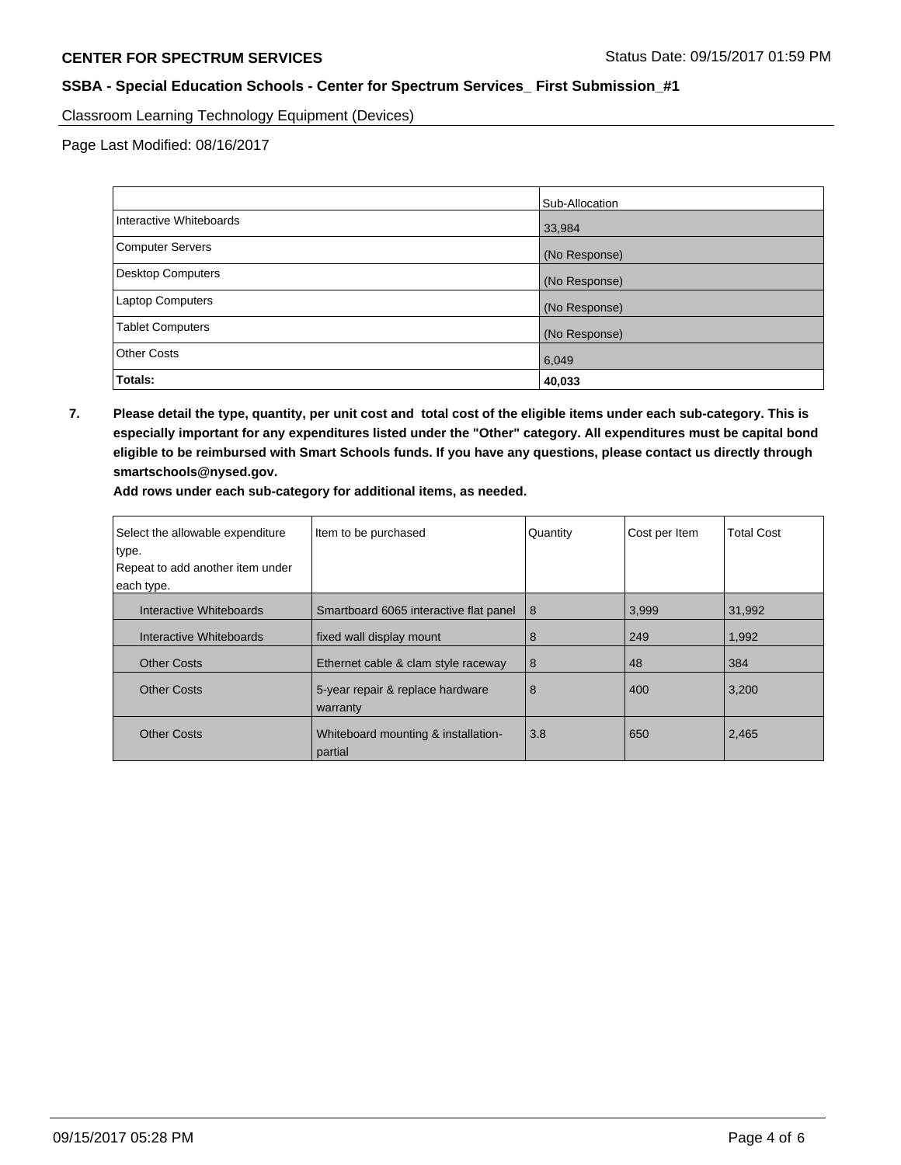Classroom Learning Technology Equipment (Devices)

Page Last Modified: 08/16/2017

|                         | Sub-Allocation |
|-------------------------|----------------|
| Interactive Whiteboards | 33,984         |
| Computer Servers        | (No Response)  |
| Desktop Computers       | (No Response)  |
| Laptop Computers        | (No Response)  |
| <b>Tablet Computers</b> | (No Response)  |
| <b>Other Costs</b>      | 6,049          |
| Totals:                 | 40,033         |

**7. Please detail the type, quantity, per unit cost and total cost of the eligible items under each sub-category. This is especially important for any expenditures listed under the "Other" category. All expenditures must be capital bond eligible to be reimbursed with Smart Schools funds. If you have any questions, please contact us directly through smartschools@nysed.gov.**

| Add rows under each sub-category for additional items, as needed. |  |
|-------------------------------------------------------------------|--|
|-------------------------------------------------------------------|--|

| Select the allowable expenditure | Item to be purchased                           | Quantity | Cost per Item | <b>Total Cost</b> |
|----------------------------------|------------------------------------------------|----------|---------------|-------------------|
| type.                            |                                                |          |               |                   |
| Repeat to add another item under |                                                |          |               |                   |
| each type.                       |                                                |          |               |                   |
| Interactive Whiteboards          | Smartboard 6065 interactive flat panel         | 8        | 3,999         | 31,992            |
| Interactive Whiteboards          | fixed wall display mount                       | 8        | 249           | 1,992             |
| <b>Other Costs</b>               | Ethernet cable & clam style raceway            | 8        | 48            | 384               |
| <b>Other Costs</b>               | 5-year repair & replace hardware<br>warranty   | 8        | 400           | 3.200             |
| <b>Other Costs</b>               | Whiteboard mounting & installation-<br>partial | 3.8      | 650           | 2,465             |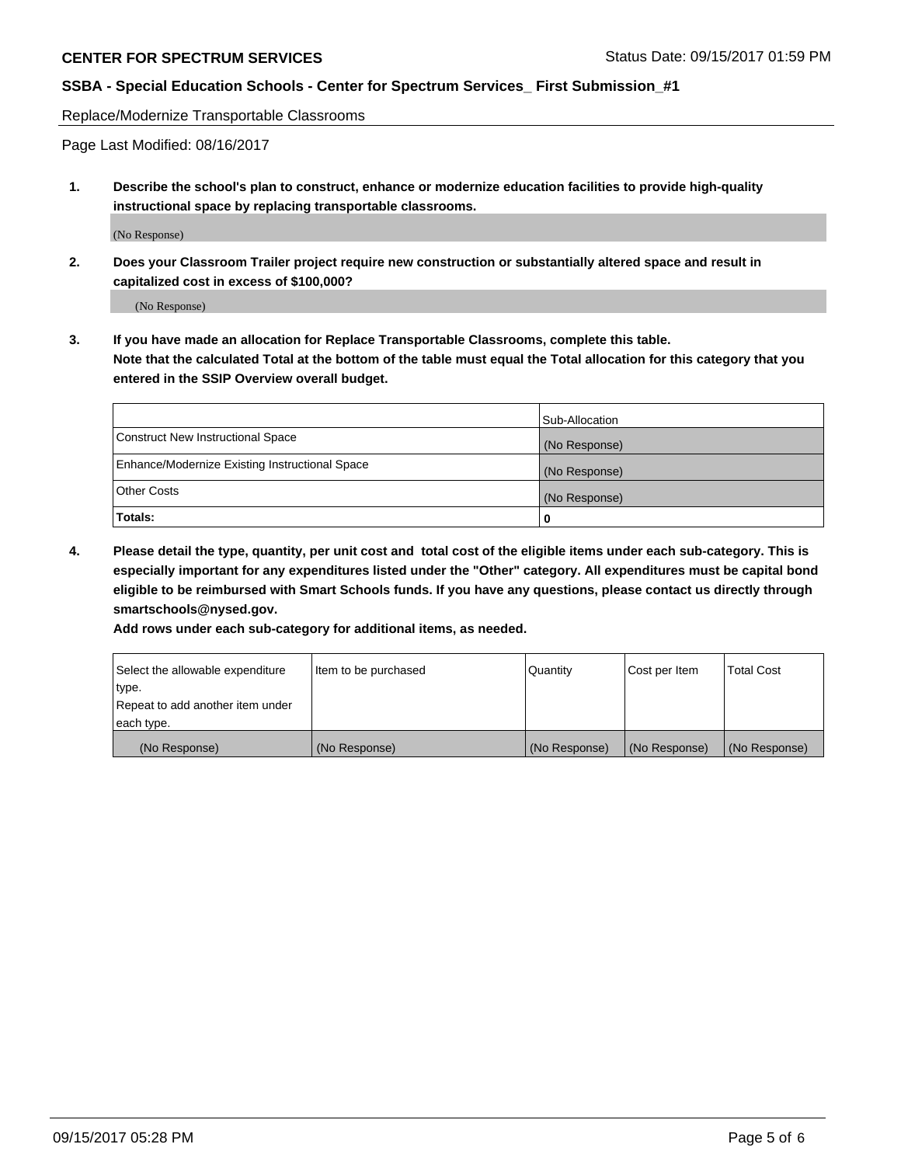# **CENTER FOR SPECTRUM SERVICES** Status Date: 09/15/2017 01:59 PM

## **SSBA - Special Education Schools - Center for Spectrum Services\_ First Submission\_#1**

Replace/Modernize Transportable Classrooms

Page Last Modified: 08/16/2017

**1. Describe the school's plan to construct, enhance or modernize education facilities to provide high-quality instructional space by replacing transportable classrooms.**

(No Response)

**2. Does your Classroom Trailer project require new construction or substantially altered space and result in capitalized cost in excess of \$100,000?**

(No Response)

**3. If you have made an allocation for Replace Transportable Classrooms, complete this table. Note that the calculated Total at the bottom of the table must equal the Total allocation for this category that you entered in the SSIP Overview overall budget.**

|                                                | Sub-Allocation |
|------------------------------------------------|----------------|
| Construct New Instructional Space              | (No Response)  |
| Enhance/Modernize Existing Instructional Space | (No Response)  |
| Other Costs                                    | (No Response)  |
| Totals:                                        | 0              |

**4. Please detail the type, quantity, per unit cost and total cost of the eligible items under each sub-category. This is especially important for any expenditures listed under the "Other" category. All expenditures must be capital bond eligible to be reimbursed with Smart Schools funds. If you have any questions, please contact us directly through smartschools@nysed.gov.**

**Add rows under each sub-category for additional items, as needed.**

| Select the allowable expenditure | Item to be purchased | Quantity      | Cost per Item | <b>Total Cost</b> |
|----------------------------------|----------------------|---------------|---------------|-------------------|
| type.                            |                      |               |               |                   |
| Repeat to add another item under |                      |               |               |                   |
| each type.                       |                      |               |               |                   |
| (No Response)                    | (No Response)        | (No Response) | (No Response) | (No Response)     |